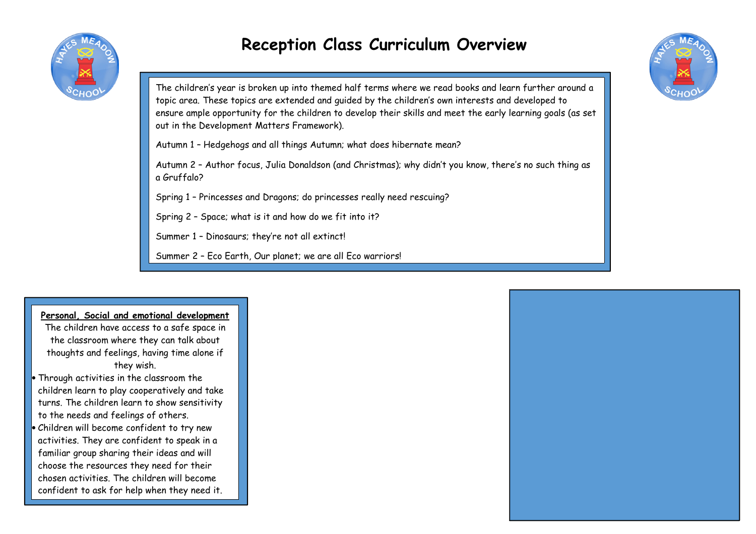

# **Reception Class Curriculum Overview**



The children's year is broken up into themed half terms where we read books and learn further around atopic area. These topics are extended and guided by the children's own interests and developed to ensure ample opportunity for the children to develop their skills and meet the early learning goals (as setout in the Development Matters Framework).

Autumn 1 – Hedgehogs and all things Autumn; what does hibernate mean?

Autumn 2 – Author focus, Julia Donaldson (and Christmas); why didn't you know, there's no such thing as a Gruffalo?

Spring 1 – Princesses and Dragons; do princesses really need rescuing?

Spring 2 – Space; what is it and how do we fit into it?

Summer 1 – Dinosaurs; they're not all extinct!

Summer 2 – Eco Earth, Our planet; we are all Eco warriors!

### **Personal, Social and emotional development**

 The children have access to a safe space in the classroom where they can talk about thoughts and feelings, having time alone ifthey wish.

- Through activities in the classroom the children learn to play cooperatively and take turns. The children learn to show sensitivity to the needs and feelings of others.
- Children will become confident to try new activities. They are confident to speak in a familiar group sharing their ideas and will choose the resources they need for their chosen activities. The children will become confident to ask for help when they need it.

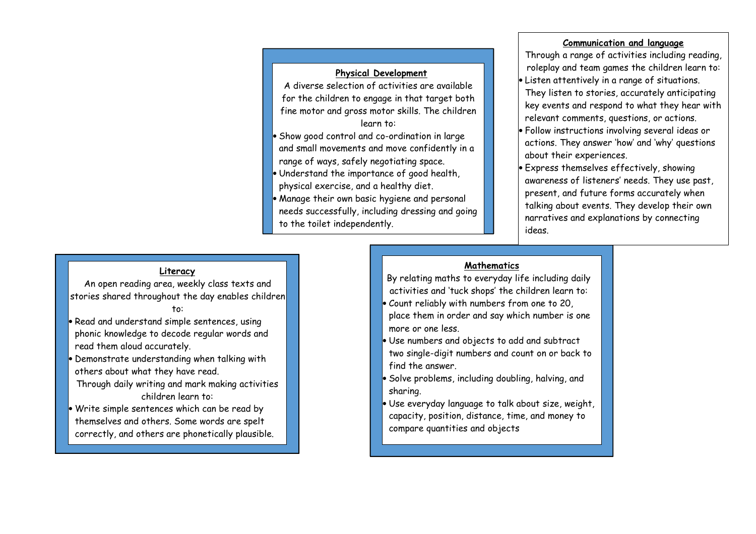## **Physical Development**

 A diverse selection of activities are available for the children to engage in that target both fine motor and gross motor skills. The childrenlearn to:

- Show good control and co-ordination in large and small movements and move confidently in a range of ways, safely negotiating space.
- Understand the importance of good health, physical exercise, and a healthy diet.
- 
- Manage their own basic hygiene and personal needs successfully, including dressing and goingto the toilet independently.

#### **Communication and language**

 Through a range of activities including reading,roleplay and team games the children learn to:

- Listen attentively in a range of situations.
- They listen to stories, accurately anticipating key events and respond to what they hear withrelevant comments, questions, or actions.
- Follow instructions involving several ideas or actions. They answer 'how' and 'why' questions about their experiences.
- Express themselves effectively, showing awareness of listeners' needs. They use past, present, and future forms accurately when talking about events. They develop their own narratives and explanations by connecting ideas.

#### **Literacy**

 An open reading area, weekly class texts andstories shared throughout the day enables children

to:

- Read and understand simple sentences, using phonic knowledge to decode regular words and read them aloud accurately.
- Demonstrate understanding when talking with others about what they have read.
- Through daily writing and mark making activitieschildren learn to:
- Write simple sentences which can be read by themselves and others. Some words are spelt correctly, and others are phonetically plausible.

# **Mathematics**

- By relating maths to everyday life including dailyactivities and 'tuck shops' the children learn to:
- Count reliably with numbers from one to 20, place them in order and say which number is one more or one less.
- Use numbers and objects to add and subtract two single-digit numbers and count on or back to find the answer.
- Solve problems, including doubling, halving, and sharing.
- Use everyday language to talk about size, weight, capacity, position, distance, time, and money to compare quantities and objects